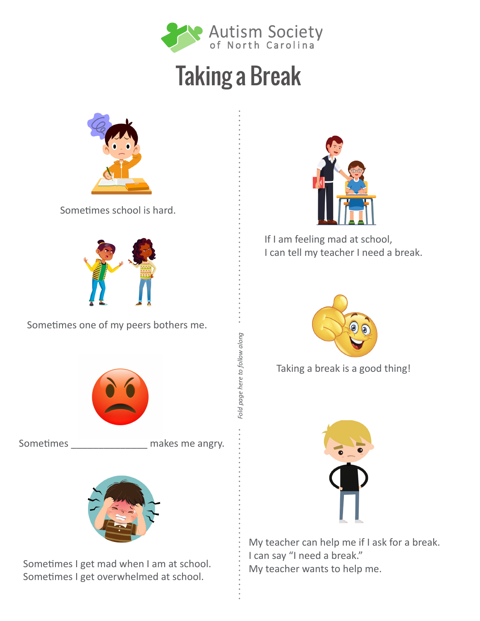

## Taking a Break

*Fold page here to follow along*

Fold page here to follow along



Sometimes school is hard.



Sometimes one of my peers bothers me.



Sometimes \_\_\_\_\_\_\_\_\_\_\_\_\_\_\_ makes me angry.



Sometimes I get mad when I am at school. Sometimes I get overwhelmed at school.



If I am feeling mad at school, I can tell my teacher I need a break.



Taking a break is a good thing!



My teacher can help me if I ask for a break. I can say "I need a break." My teacher wants to help me.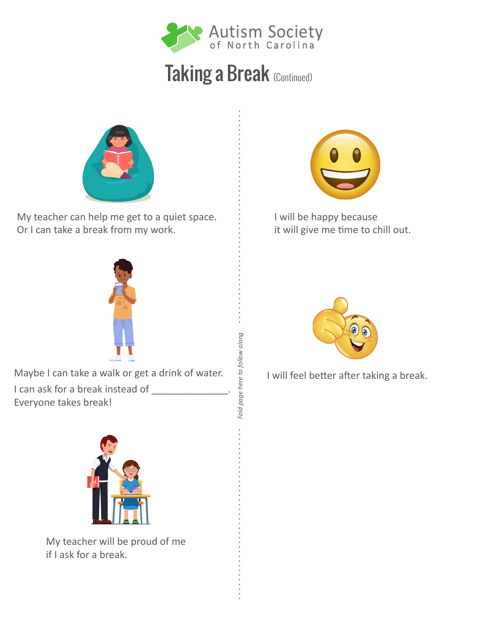

## Taking a Break (Continued)

*Fold page here to follow along*

Fold page here to follow along



My teacher can help me get to a quiet space. Or I can take a break from my work.



I will be happy because it will give me time to chill out.



Maybe I can take a walk or get a drink of water. I can ask for a break instead of \_\_\_\_\_\_\_\_\_\_\_\_\_\_. Everyone takes break!



My teacher will be proud of me if I ask for a break.



I will feel better after taking a break.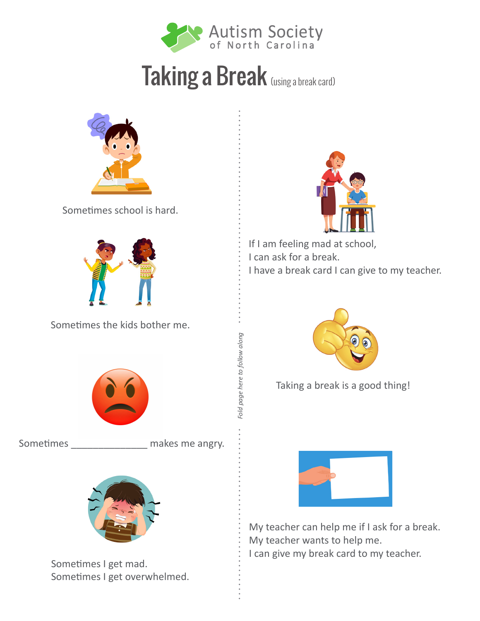

## Taking a Break (using a break card)

*Fold page here to follow along*

Fold page here to follow along



Sometimes school is hard.



Sometimes the kids bother me.



Sometimes \_\_\_\_\_\_\_\_\_\_\_\_\_\_ makes me angry.



Sometimes I get mad. Sometimes I get overwhelmed.



If I am feeling mad at school, I can ask for a break. I have a break card I can give to my teacher.



Taking a break is a good thing!



My teacher can help me if I ask for a break. My teacher wants to help me. I can give my break card to my teacher.